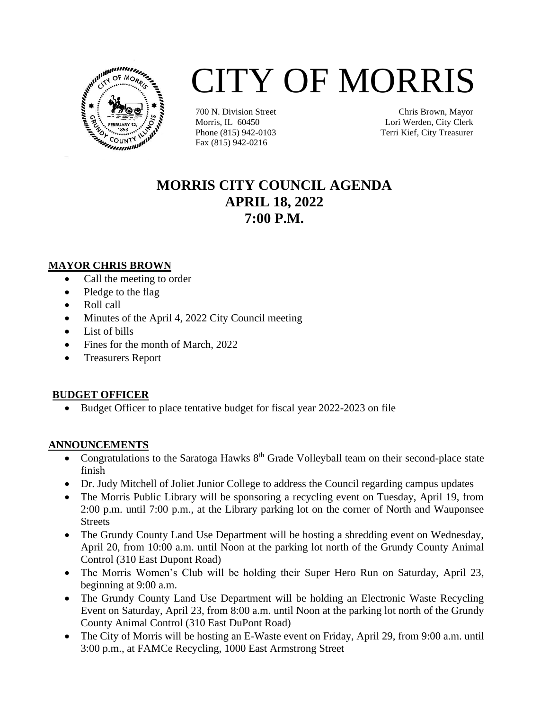

# CITY OF MORRIS

700 N. Division Street Morris, IL 60450 Phone (815) 942-0103 Fax (815) 942-0216

Chris Brown, Mayor Lori Werden, City Clerk Terri Kief, City Treasurer

# **MORRIS CITY COUNCIL AGENDA APRIL 18, 2022 7:00 P.M.**

#### **MAYOR CHRIS BROWN**

- Call the meeting to order
- Pledge to the flag
- Roll call
- Minutes of the April 4, 2022 City Council meeting
- List of bills
- Fines for the month of March, 2022
- Treasurers Report

## **BUDGET OFFICER**

• Budget Officer to place tentative budget for fiscal year 2022-2023 on file

## **ANNOUNCEMENTS**

- Congratulations to the Saratoga Hawks  $8<sup>th</sup>$  Grade Volleyball team on their second-place state finish
- Dr. Judy Mitchell of Joliet Junior College to address the Council regarding campus updates
- The Morris Public Library will be sponsoring a recycling event on Tuesday, April 19, from 2:00 p.m. until 7:00 p.m., at the Library parking lot on the corner of North and Wauponsee **Streets**
- The Grundy County Land Use Department will be hosting a shredding event on Wednesday, April 20, from 10:00 a.m. until Noon at the parking lot north of the Grundy County Animal Control (310 East Dupont Road)
- The Morris Women's Club will be holding their Super Hero Run on Saturday, April 23, beginning at 9:00 a.m.
- The Grundy County Land Use Department will be holding an Electronic Waste Recycling Event on Saturday, April 23, from 8:00 a.m. until Noon at the parking lot north of the Grundy County Animal Control (310 East DuPont Road)
- The City of Morris will be hosting an E-Waste event on Friday, April 29, from 9:00 a.m. until 3:00 p.m., at FAMCe Recycling, 1000 East Armstrong Street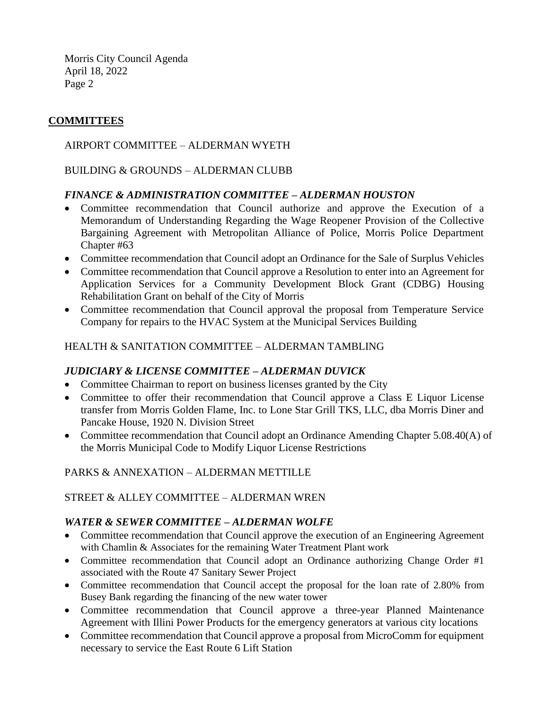Morris City Council Agenda April 18, 2022 Page 2

# **COMMITTEES**

#### AIRPORT COMMITTEE – ALDERMAN WYETH

BUILDING & GROUNDS – ALDERMAN CLUBB

#### *FINANCE & ADMINISTRATION COMMITTEE – ALDERMAN HOUSTON*

- Committee recommendation that Council authorize and approve the Execution of a Memorandum of Understanding Regarding the Wage Reopener Provision of the Collective Bargaining Agreement with Metropolitan Alliance of Police, Morris Police Department Chapter #63
- Committee recommendation that Council adopt an Ordinance for the Sale of Surplus Vehicles
- Committee recommendation that Council approve a Resolution to enter into an Agreement for Application Services for a Community Development Block Grant (CDBG) Housing Rehabilitation Grant on behalf of the City of Morris
- Committee recommendation that Council approval the proposal from Temperature Service Company for repairs to the HVAC System at the Municipal Services Building

#### HEALTH & SANITATION COMMITTEE – ALDERMAN TAMBLING

#### *JUDICIARY & LICENSE COMMITTEE – ALDERMAN DUVICK*

- Committee Chairman to report on business licenses granted by the City
- Committee to offer their recommendation that Council approve a Class E Liquor License transfer from Morris Golden Flame, Inc. to Lone Star Grill TKS, LLC, dba Morris Diner and Pancake House, 1920 N. Division Street
- Committee recommendation that Council adopt an Ordinance Amending Chapter 5.08.40(A) of the Morris Municipal Code to Modify Liquor License Restrictions

PARKS & ANNEXATION – ALDERMAN METTILLE

#### STREET & ALLEY COMMITTEE – ALDERMAN WREN

#### *WATER & SEWER COMMITTEE – ALDERMAN WOLFE*

- Committee recommendation that Council approve the execution of an Engineering Agreement with Chamlin & Associates for the remaining Water Treatment Plant work
- Committee recommendation that Council adopt an Ordinance authorizing Change Order #1 associated with the Route 47 Sanitary Sewer Project
- Committee recommendation that Council accept the proposal for the loan rate of 2.80% from Busey Bank regarding the financing of the new water tower
- Committee recommendation that Council approve a three-year Planned Maintenance Agreement with Illini Power Products for the emergency generators at various city locations
- Committee recommendation that Council approve a proposal from MicroComm for equipment necessary to service the East Route 6 Lift Station